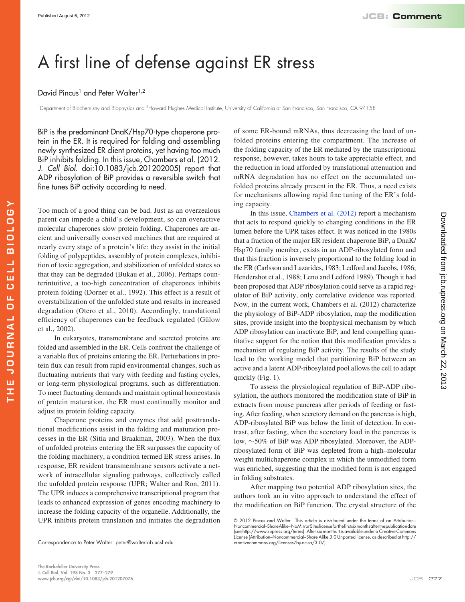## A first line of defense against ER stress

## David Pincus<sup>1</sup> and Peter Walter<sup>1,2</sup>

<sup>1</sup>Department of Biochemistry and Biophysics and <sup>2</sup>Howard Hughes Medical Institute, University of California at San Francisco, San Francisco, CA 94158

BiP is the predominant DnaK/Hsp70-type chaperone protein in the ER. It is required for folding and assembling newly synthesized ER client proteins, yet having too much BiP inhibits folding. In this issue, Chambers et al. (2012. *J. Cell Biol.* doi:10.1083/jcb.201202005) report that ADP ribosylation of BiP provides a reversible switch that fine tunes BiP activity according to need.

Too much of a good thing can be bad. Just as an overzealous parent can impede a child's development, so can overactive molecular chaperones slow protein folding. Chaperones are ancient and universally conserved machines that are required at nearly every stage of a protein's life: they assist in the initial folding of polypeptides, assembly of protein complexes, inhibition of toxic aggregation, and stabilization of unfolded states so that they can be degraded (Bukau et al., 2006). Perhaps counterintuitive, a too-high concentration of chaperones inhibits protein folding (Dorner et al., 1992). This effect is a result of overstabilization of the unfolded state and results in increased degradation (Otero et al., 2010). Accordingly, translational efficiency of chaperones can be feedback regulated (Gülow et al., 2002).

In eukaryotes, transmembrane and secreted proteins are folded and assembled in the ER. Cells confront the challenge of a variable flux of proteins entering the ER. Perturbations in protein flux can result from rapid environmental changes, such as fluctuating nutrients that vary with feeding and fasting cycles, or long-term physiological programs, such as differentiation. To meet fluctuating demands and maintain optimal homeostasis of protein maturation, the ER must continually monitor and adjust its protein folding capacity.

Chaperone proteins and enzymes that add posttranslational modifications assist in the folding and maturation processes in the ER (Sitia and Braakman, 2003). When the flux of unfolded proteins entering the ER surpasses the capacity of the folding machinery, a condition termed ER stress arises. In response, ER resident transmembrane sensors activate a network of intracellular signaling pathways, collectively called the unfolded protein response (UPR; Walter and Ron, 2011). The UPR induces a comprehensive transcriptional program that leads to enhanced expression of genes encoding machinery to increase the folding capacity of the organelle. Additionally, the UPR inhibits protein translation and initiates the degradation of some ER-bound mRNAs, thus decreasing the load of unfolded proteins entering the compartment. The increase of the folding capacity of the ER mediated by the transcriptional response, however, takes hours to take appreciable effect, and the reduction in load afforded by translational attenuation and mRNA degradation has no effect on the accumulated unfolded proteins already present in the ER. Thus, a need exists for mechanisms allowing rapid fine tuning of the ER's folding capacity.

In this issue, [Chambers et al. \(2012\)](http://jcb.rupress.org/cgi/content/full/10.1083/jcb.201202005) report a mechanism that acts to respond quickly to changing conditions in the ER lumen before the UPR takes effect. It was noticed in the 1980s that a fraction of the major ER resident chaperone BiP, a DnaK/ Hsp70 family member, exists in an ADP-ribosylated form and that this fraction is inversely proportional to the folding load in the ER (Carlsson and Lazarides, 1983; Ledford and Jacobs, 1986; Hendershot et al., 1988; Leno and Ledford 1989). Though it had been proposed that ADP ribosylation could serve as a rapid regulator of BiP activity, only correlative evidence was reported. Now, in the current work, Chambers et al. (2012) characterize the physiology of BiP-ADP ribosylation, map the modification sites, provide insight into the biophysical mechanism by which ADP ribosylation can inactivate BiP, and lend compelling quantitative support for the notion that this modification provides a mechanism of regulating BiP activity. The results of the study lead to the working model that partitioning BiP between an active and a latent ADP-ribosylated pool allows the cell to adapt quickly (Fig. 1).

To assess the physiological regulation of BiP-ADP ribosylation, the authors monitored the modification state of BiP in extracts from mouse pancreas after periods of feeding or fasting. After feeding, when secretory demand on the pancreas is high, ADP-ribosylated BiP was below the limit of detection. In contrast, after fasting, when the secretory load in the pancreas is low,  $\sim$ 50% of BiP was ADP ribosylated. Moreover, the ADPribosylated form of BiP was depleted from a high–molecular weight multichaperone complex in which the unmodified form was enriched, suggesting that the modified form is not engaged in folding substrates.

After mapping two potential ADP ribosylation sites, the authors took an in vitro approach to understand the effect of the modification on BiP function. The crystal structure of the Downloaded from [jcb.rupress.org](http://jcb.rupress.org/) on March 22, 2013

Downloaded from jcb.rupress.org on March 22, 2013

Correspondence to Peter Walter: peter@walterlab.ucsf.edu

<sup>© 2012</sup> Pincus and Walter This article is distributed under the terms of an Attribution– Noncommercial–Share Alike–No Mirror Sites license for the first six months after the publication date (see http://www.rupress.org/terms). After six months it is available under a Creative Commons License (Attribution–Noncommercial–Share Alike 3.0 Unported license, as described at http:// creativecommons.org/licenses/by-nc-sa/3.0/).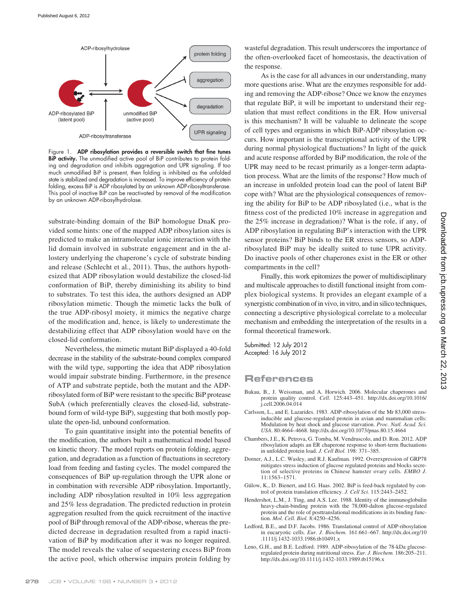

Figure 1. ADP ribosylation provides a reversible switch that fine tunes BiP activity. The unmodified active pool of BiP contributes to protein folding and degradation and inhibits aggregation and UPR signaling. If too much unmodified BiP is present, then folding is inhibited as the unfolded state is stabilized and degradation is increased. To improve efficiency of protein folding, excess BiP is ADP ribosylated by an unknown ADP-ribosyltransferase. This pool of inactive BiP can be reactivated by removal of the modification by an unknown ADP-ribosylhydrolase.

substrate-binding domain of the BiP homologue DnaK provided some hints: one of the mapped ADP ribosylation sites is predicted to make an intramolecular ionic interaction with the lid domain involved in substrate engagement and in the allostery underlying the chaperone's cycle of substrate binding and release (Schlecht et al., 2011). Thus, the authors hypothesized that ADP ribosylation would destabilize the closed-lid conformation of BiP, thereby diminishing its ability to bind to substrates. To test this idea, the authors designed an ADP ribosylation mimetic. Though the mimetic lacks the bulk of the true ADP-ribosyl moiety, it mimics the negative charge of the modification and, hence, is likely to underestimate the destabilizing effect that ADP ribosylation would have on the closed-lid conformation.

Nevertheless, the mimetic mutant BiP displayed a 40-fold decrease in the stability of the substrate-bound complex compared with the wild type, supporting the idea that ADP ribosylation would impair substrate binding. Furthermore, in the presence of ATP and substrate peptide, both the mutant and the ADPribosylated form of BiP were resistant to the specific BiP protease SubA (which preferentially cleaves the closed-lid, substratebound form of wild-type BiP), suggesting that both mostly populate the open-lid, unbound conformation.

To gain quantitative insight into the potential benefits of the modification, the authors built a mathematical model based on kinetic theory. The model reports on protein folding, aggregation, and degradation as a function of fluctuations in secretory load from feeding and fasting cycles. The model compared the consequences of BiP up-regulation through the UPR alone or in combination with reversible ADP ribosylation. Importantly, including ADP ribosylation resulted in 10% less aggregation and 25% less degradation. The predicted reduction in protein aggregation resulted from the quick recruitment of the inactive pool of BiP through removal of the ADP-ribose, whereas the predicted decrease in degradation resulted from a rapid inactivation of BiP by modification after it was no longer required. The model reveals the value of sequestering excess BiP from the active pool, which otherwise impairs protein folding by

wasteful degradation. This result underscores the importance of the often-overlooked facet of homeostasis, the deactivation of the response.

As is the case for all advances in our understanding, many more questions arise. What are the enzymes responsible for adding and removing the ADP-ribose? Once we know the enzymes that regulate BiP, it will be important to understand their regulation that must reflect conditions in the ER. How universal is this mechanism? It will be valuable to delineate the scope of cell types and organisms in which BiP-ADP ribosylation occurs. How important is the transcriptional activity of the UPR during normal physiological fluctuations? In light of the quick and acute response afforded by BiP modification, the role of the UPR may need to be recast primarily as a longer-term adaptation process. What are the limits of the response? How much of an increase in unfolded protein load can the pool of latent BiP cope with? What are the physiological consequences of removing the ability for BiP to be ADP ribosylated (i.e., what is the fitness cost of the predicted 10% increase in aggregation and the 25% increase in degradation)? What is the role, if any, of ADP ribosylation in regulating BiP's interaction with the UPR sensor proteins? BiP binds to the ER stress sensors, so ADPribosylated BiP may be ideally suited to tune UPR activity. Do inactive pools of other chaperones exist in the ER or other compartments in the cell?

Finally, this work epitomizes the power of multidisciplinary and multiscale approaches to distill functional insight from complex biological systems. It provides an elegant example of a synergistic combination of in vivo, in vitro, and in silico techniques, connecting a descriptive physiological correlate to a molecular mechanism and embedding the interpretation of the results in a formal theoretical framework.

Submitted: 12 July 2012 Accepted: 16 July 2012

## **References**

- Bukau, B., J. Weissman, and A. Horwich. 2006. Molecular chaperones and protein quality control. *Cell*. 125:443–451. [http://dx.doi.org/10.1016/](http://dx.doi.org/10.1016/j.cell.2006.04.014) [j.cell.2006.04.014](http://dx.doi.org/10.1016/j.cell.2006.04.014)
- Carlsson, L., and E. Lazarides. 1983. ADP-ribosylation of the Mr 83,000 stressinducible and glucose-regulated protein in avian and mammalian cells: Modulation by heat shock and glucose starvation. *Proc. Natl. Acad. Sci. USA*. 80:4664–4668.<http://dx.doi.org/10.1073/pnas.80.15.4664>
- Chambers, J.E., K. Petrova, G. Tomba, M. Vendruscolo, and D. Ron. 2012. ADP ribosylation adapts an ER chaperone response to short-term fluctuations in unfolded protein load. *J. Cell Biol.* 198: 371–385.
- Dorner, A.J., L.C. Wasley, and R.J. Kaufman. 1992. Overexpression of GRP78 mitigates stress induction of glucose regulated proteins and blocks secretion of selective proteins in Chinese hamster ovary cells. *EMBO J.* 11:1563–1571.
- Gülow, K., D. Bienert, and I.G. Haas. 2002. BiP is feed-back regulated by control of protein translation efficiency. *J. Cell Sci.* 115:2443–2452.
- Hendershot, L.M., J. Ting, and A.S. Lee. 1988. Identity of the immunoglobulin heavy-chain-binding protein with the 78,000-dalton glucose-regulated protein and the role of posttranslational modifications in its binding function. *Mol. Cell. Biol.* 8:4250–4256.
- Ledford, B.E., and D.F. Jacobs. 1986. Translational control of ADP-ribosylation in eucaryotic cells. *Eur. J. Biochem.* 161:661–667. [http://dx.doi.org/10](http://dx.doi.org/10.1111/j.1432-1033.1986.tb10491.x) [.1111/j.1432-1033.1986.tb10491.x](http://dx.doi.org/10.1111/j.1432-1033.1986.tb10491.x)
- Leno, G.H., and B.E. Ledford. 1989. ADP-ribosylation of the 78-kDa glucoseregulated protein during nutritional stress. *Eur. J. Biochem.* 186:205–211. <http://dx.doi.org/10.1111/j.1432-1033.1989.tb15196.x>